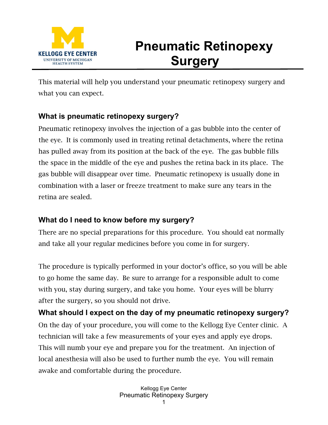

# **Pneumatic Retinopexy Surgery**

This material will help you understand your pneumatic retinopexy surgery and what you can expect.

## **What is pneumatic retinopexy surgery?**

Pneumatic retinopexy involves the injection of a gas bubble into the center of the eye. It is commonly used in treating retinal detachments, where the retina has pulled away from its position at the back of the eye. The gas bubble fills the space in the middle of the eye and pushes the retina back in its place. The gas bubble will disappear over time. Pneumatic retinopexy is usually done in combination with a laser or freeze treatment to make sure any tears in the retina are sealed.

## **What do I need to know before my surgery?**

There are no special preparations for this procedure. You should eat normally and take all your regular medicines before you come in for surgery.

The procedure is typically performed in your doctor's office, so you will be able to go home the same day. Be sure to arrange for a responsible adult to come with you, stay during surgery, and take you home. Your eyes will be blurry after the surgery, so you should not drive.

**What should I expect on the day of my pneumatic retinopexy surgery?** On the day of your procedure, you will come to the Kellogg Eye Center clinic. A technician will take a few measurements of your eyes and apply eye drops. This will numb your eye and prepare you for the treatment. An injection of local anesthesia will also be used to further numb the eye. You will remain awake and comfortable during the procedure.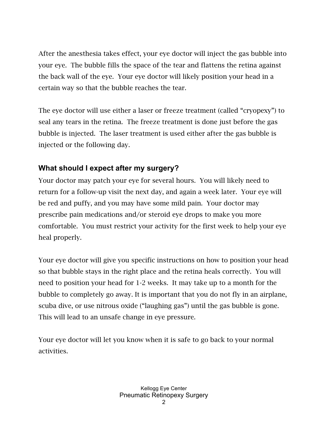After the anesthesia takes effect, your eye doctor will inject the gas bubble into your eye. The bubble fills the space of the tear and flattens the retina against the back wall of the eye. Your eye doctor will likely position your head in a certain way so that the bubble reaches the tear.

The eye doctor will use either a laser or freeze treatment (called "cryopexy") to seal any tears in the retina. The freeze treatment is done just before the gas bubble is injected. The laser treatment is used either after the gas bubble is injected or the following day.

#### **What should I expect after my surgery?**

Your doctor may patch your eye for several hours. You will likely need to return for a follow-up visit the next day, and again a week later. Your eye will be red and puffy, and you may have some mild pain. Your doctor may prescribe pain medications and/or steroid eye drops to make you more comfortable. You must restrict your activity for the first week to help your eye heal properly.

Your eye doctor will give you specific instructions on how to position your head so that bubble stays in the right place and the retina heals correctly. You will need to position your head for 1-2 weeks. It may take up to a month for the bubble to completely go away. It is important that you do not fly in an airplane, scuba dive, or use nitrous oxide ("laughing gas") until the gas bubble is gone. This will lead to an unsafe change in eye pressure.

Your eye doctor will let you know when it is safe to go back to your normal activities.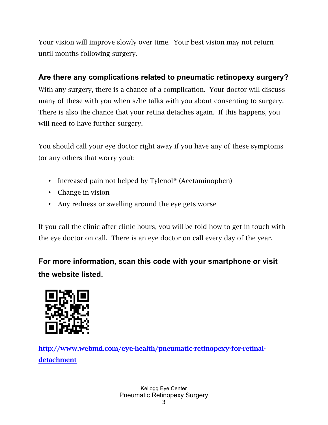Your vision will improve slowly over time. Your best vision may not return until months following surgery.

#### **Are there any complications related to pneumatic retinopexy surgery?**

With any surgery, there is a chance of a complication. Your doctor will discuss many of these with you when s/he talks with you about consenting to surgery. There is also the chance that your retina detaches again. If this happens, you will need to have further surgery.

You should call your eye doctor right away if you have any of these symptoms (or any others that worry you):

- Increased pain not helped by Tylenol<sup>®</sup> (Acetaminophen)
- Change in vision
- Any redness or swelling around the eye gets worse

If you call the clinic after clinic hours, you will be told how to get in touch with the eye doctor on call. There is an eye doctor on call every day of the year.

**For more information, scan this code with your smartphone or visit the website listed.**



http://www.webmd.com/eye-health/pneumatic-retinopexy-for-retinaldetachment